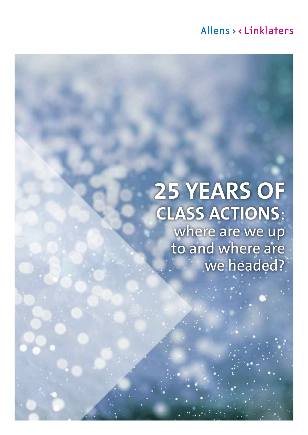# Allens > < Linklaters

# **25 YEARS OF CLASS ACTIONS**: where are we up to and where are we headed?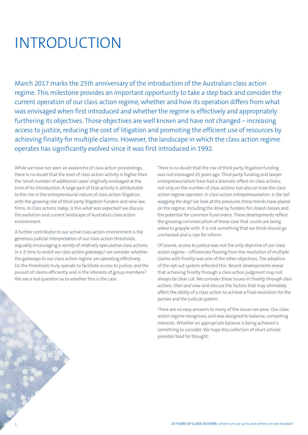# INTRODUCTION

March 2017 marks the 25th anniversary of the introduction of the Australian class action regime. This milestone provides an important opportunity to take a step back and consider the current operation of our class action regime, whether and how its operation differs from what was envisaged when first introduced and whether the regime is effectively and appropriately furthering its objectives. Those objectives are well known and have not changed – increasing access to justice, reducing the cost of litigation and promoting the efficient use of resources by achieving finality for multiple claims. However, the landscape in which the class action regime operates has significantly evolved since it was first introduced in 1992.

While we have not seen an avalanche of class action proceedings, there is no doubt that the level of class action activity is higher than the 'small number of additional cases' originally envisaged at the time of its introduction. A large part of that activity is attributable to the rise in the entrepreneurial nature of class action litigation, with the growing role of third party litigation funders and new law firms. In *Class actions today: Is this what was expected?* we discuss the evolution and current landscape of Australia's class action environment.

A further contributor to our active class action environment is the generous judicial interpretation of our class action thresholds, arguably encouraging a variety of relatively speculative class actions. In *Is it time to revisit our class action gateways?* we consider whether the gateways to our class action regime are operating effectively. Do the thresholds truly operate to facilitate access to justice, and the pursuit of claims efficiently and in the interests of group members? We see a real question as to whether this is the case.

There is no doubt that the rise of third party litigation funding was not envisaged 25 years ago. Third party funding and lawyer entrepreneurialism have had a dramatic effect on class actions, not only on the number of class actions but also on how the class action regime operates. In *Class action entrepreneurialism: Is the tail wagging the dog?* we look at the pressures these trends have placed on the regime, including the drive by funders for closed classes and the potential for common fund orders. These developments reflect the growing commercialism of these case that courts are being asked to grapple with. It is not something that we think should go unchecked and is ripe for reform.

Of course, access to justice was not the only objective of our class action regime – efficiencies flowing from the resolution of multiple claims with finality was one of the other objectives. The adoption of the opt out system reflected this. Recent developments reveal that achieving finality through a class action judgment may not always be clear cut. We consider these issues in *Finality through class actions: then and now* and discuss the factors that may ultimately affect the ability of a class action to achieve a final resolution for the parties and the judicial system.

There are no easy answers to many of the issues we pose. Our class action regime recognises, and was designed to balance, competing interests. Whether an appropriate balance is being achieved is something to consider. We hope this collection of short articles provides food for thought.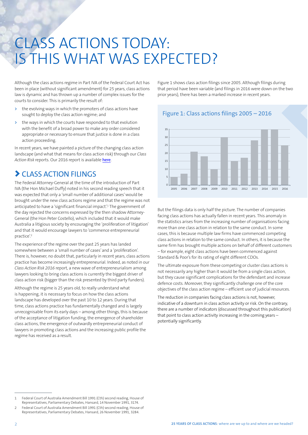# CLASS ACTIONS TODAY: IS THIS WHAT WAS EXPECTED?

Although the class actions regime in Part IVA of the Federal Court Act has been in place (without significant amendment) for 25 years, class actions law is dynamic and has thrown up a number of complex issues for the courts to consider. This is primarily the result of:

- **>** the evolving ways in which the promoters of class actions have sought to deploy the class action regime; and
- **>** the ways in which the courts have responded to that evolution with the benefit of a broad power to make any order considered appropriate or necessary to ensure that justice is done in a class action proceeding.

In recent years, we have painted a picture of the changing class action landscape (and what that means for class action risk) through our *Class Action Risk* reports. Our 2016 report is available [here](https://www.allens.com.au/general/forms/pdf/ClassActionRisk2016.pdf?sku=194416197010101962).

### > CLASS ACTION FILINGS

The Federal Attorney-General at the time of the introduction of Part IVA (the Hon Michael Duffy) noted in his second reading speech that it was expected that only a 'small number of additional cases' would be brought under the new class actions regime and that the regime was not anticipated to have a 'significant financial impact'.1 The government of the day rejected the concerns expressed by the then shadow Attorney-General (the Hon Peter Costello), which included that it would make Australia a litigious society by encouraging the 'proliferation of litigation' and that it would encourage lawyers to 'commence entrepreneurial practice'.2

The experience of the regime over the past 25 years has landed somewhere between a 'small number of cases' and a 'proliferation'. There is, however, no doubt that, particularly in recent years, class actions practice has become increasingly entrepreneurial. Indeed, as noted in our *Class Action Risk 2016* report, a new wave of entrepreneurialism among lawyers looking to bring class actions is currently the biggest driver of class action risk (bigger than the risk presented by third party funders).

Although the regime is 25 years old, to really understand what is happening, it is necessary to focus on how the class actions landscape has developed over the past 10 to 12 years. During that time, class actions practice has fundamentally changed and is largely unrecognisable from its early days – among other things, this is because of the acceptance of litigation funding, the emergence of shareholder class actions, the emergence of outwardly entrepreneurial conduct of lawyers in promoting class actions and the increasing public profile the regime has received as a result.

Figure 1 shows class action filings since 2005. Although filings during that period have been variable (and filings in 2016 were down on the two prior years), there has been a marked increase in recent years.

Figure 1: Class actions filings 2005 – 2016



But the filings data is only half the picture. The number of companies facing class actions has actually fallen in recent years. This anomaly in the statistics arises from the increasing number of organisations facing more than one class action in relation to the same conduct. In some cases, this is because multiple law firms have commenced competing class actions in relation to the same conduct. In others, it is because the same firm has brought multiple actions on behalf of different customers – for example, eight class actions have been commenced against Standard & Poor's for its rating of eight different CDOs.

The ultimate exposure from these competing or cluster class actions is not necessarily any higher than it would be from a single class action, but they cause significant complications for the defendant and increase defence costs. Moreover, they significantly challenge one of the core objectives of the class action regime – efficient use of judicial resources.

The reduction in companies facing class actions is not, however, indicative of a downturn in class action activity or risk. On the contrary, there are a number of indicators (discussed throughout this publication) that point to class action activity increasing in the coming years potentially significantly.

<sup>1</sup> Federal Court of Australia Amendment Bill 1991 (Cth) second reading, House of Representatives, Parliamentary Debates, Hansard, 14 November 1991, 3174.

<sup>2</sup> Federal Court of Australia Amendment Bill 1991 (Cth) second reading, House of Representatives, Parliamentary Debates, Hansard, 26 November 1991, 3284.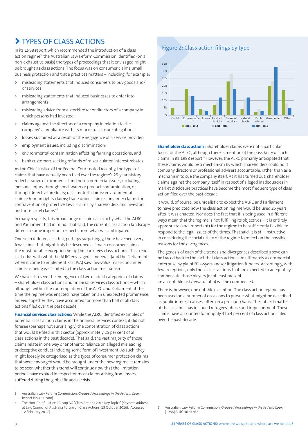## > TYPES OF CLASS ACTIONS

In its 1988 report which recommended the introduction of a class action regime<sup>3</sup>, the Australian Law Reform Commission identified (on a non-exhaustive basis) the types of proceedings that it envisaged might be brought as class actions. The focus was on consumer claims, small business protection and trade practices matters – including, for example:

- **>** misleading statements that induced consumers to buy goods and/ or services;
- **>** misleading statements that induced businesses to enter into arrangements;
- **>** misleading advice from a stockbroker or directors of a company in which persons had invested;
- **>** claims against the directors of a company in relation to the company's compliance with its market disclosure obligations;
- **>** losses sustained as a result of the negligence of a service provider;
- **>** employment issues, including discrimination;
- **>** environmental contamination affecting farming operations; and
- **>** bank customers seeking refunds of miscalculated interest rebates.

As the Chief Justice of the Federal Court noted recently, the types of claims that have actually been filed over the regime's 25-year history reflect a range of commercial and non-commercial issues, including 'personal injury through food, water or product contamination, or through defective products; disaster tort claims; environmental claims; human rights claims; trade union claims; consumer claims for contravention of protective laws; claims by shareholders and investors; and anti-cartel claims'.4

In many respects, this broad range of claims is exactly what the ALRC and Parliament had in mind. That said, the current class action landscape differs in some important respects from what was anticipated.

One such difference is that, perhaps surprisingly, there have been very few claims that might truly be described as 'mass consumer claims' – the most notable exception being the bank fees class actions. This trend is at odds with what the ALRC envisaged – indeed it (and the Parliament when it came to implement Part IVA) saw low-value mass-consumer claims as being well suited to the class action mechanism.

We have also seen the emergence of two distinct categories of claims – shareholder class actions and financial services class actions – which, although within the contemplation of the ALRC and Parliament at the time the regime was enacted, have taken on an unexpected prominence. Indeed, together they have accounted for more than half of all class actions filed over the past decade.

**Financial services class actions:** While the ALRC identified examples of potential class action claims in the financial services context, it did not foresee (perhaps not surprisingly) the concentration of class actions that would be filed in this sector (approximately 25 per cent of all class actions in the past decade). That said, the vast majority of those claims relate in one way or another to reliance on alleged misleading or deceptive conduct inducing some form of investment. As such, they might loosely be categorised as the types of consumer protection claims that were envisaged would be brought under the new regime. It remains to be seen whether this trend will continue now that the limitation periods have expired in respect of most claims arising from losses suffered during the global financial crisis.

Figure 2: Class action filings by type



**Shareholder class actions:** Shareholder claims were not a particular focus for the ALRC, although there is mention of the possibility of such claims in its 1988 report.<sup>5</sup> However, the ALRC primarily anticipated that these claims would be a mechanism by which shareholders could hold company directors or professional advisers accountable, rather than as a mechanism to sue the company itself. As it has turned out, shareholder claims against the company itself in respect of alleged inadequacies in market disclosure practices have become the most frequent type of class action filed over the past decade.

It would, of course, be unrealistic to expect the ALRC and Parliament to have predicted how the class action regime would be used 25 years after it was enacted. Nor does the fact that it is being used in different ways mean that the regime is not fulfilling its objectives – it is entirely appropriate (and important) for the regime to be sufficiently flexible to respond to the legal issues of the times. That said, it is still instructive in considering the social utility of the regime to reflect on the possible reasons for the divergences.

The genesis of each of the trends and divergences described above can be traced back to the fact that class actions are ultimately a commercial enterprise by plaintiff lawyers and/or litigation funders. Accordingly, with few exceptions, only those class actions that are expected to adequately compensate those players (or at least present an acceptable risk/reward ratio) will be commenced.

There is, however, one notable exception. The class action regime has been used on a number of occasions to pursue what might be described as public interest causes, often on a pro bono basis. The subject matter of these claims has included refugees, abuse and imprisonment. These claims have accounted for roughly 3 to 4 per cent of class actions filed over the past decade.

<sup>3</sup> Australian Law Reform Commission, *Grouped Proceedings in the Federal Court*, Report No 46 (1988).

<sup>4</sup> The Hon. Chief Justice J Allsop AO ['Class Actions 2016 Key Topics'](http://www.fedcourt.gov.au/digital-law-library/judges-speeches/chief-justice-allsop/allsop-cj-20161013) (Keynote address at Law Council of Australia Forum on Class Actions, 13 October 2016), [Accessed 12 February 2017] .

<sup>5</sup> Australian Law Reform Commission, *Grouped Proceedings in the Federal Court* [1988] ALRC 46 at p33.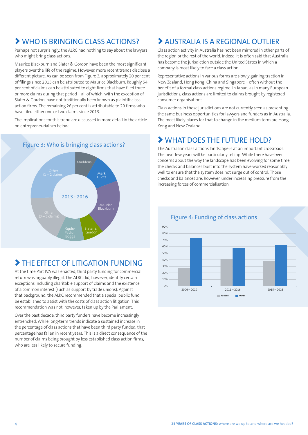## > WHO IS BRINGING CLASS ACTIONS?

Perhaps not surprisingly, the ALRC had nothing to say about the lawyers who might bring class actions.

Maurice Blackburn and Slater & Gordon have been the most significant players over the life of the regime. However, more recent trends disclose a different picture. As can be seen from Figure 3, approximately 20 per cent of filings since 2013 can be attributed to Maurice Blackburn. Roughly 54 per cent of claims can be attributed to eight firms that have filed three or more claims during that period – all of which, with the exception of Slater & Gordon, have not traditionally been known as plaintiff class action firms. The remaining 26 per cent is attributable to 29 firms who have filed either one or two claims since 2013.

The implications for this trend are discussed in more detail in the article on entrepreneurialism below.



#### Figure 3: Who is bringing class actions?

## > THE EFFECT OF LITIGATION FUNDING

At the time Part IVA was enacted, third party funding for commercial return was arguably illegal. The ALRC did, however, identify certain exceptions including charitable support of claims and the existence of a common interest (such as support by trade unions). Against that background, the ALRC recommended that a special public fund be established to assist with the costs of class action litigation. This recommendation was not, however, taken up by the Parliament.

Over the past decade, third party funders have become increasingly entrenched. While long-term trends indicate a sustained increase in the percentage of class actions that have been third party funded, that percentage has fallen in recent years. This is a direct consequence of the number of claims being brought by less established class action firms, who are less likely to secure funding.

### > AUSTRALIA IS A REGIONAL OUTLIER

Class action activity in Australia has not been mirrored in other parts of the region or the rest of the world. Indeed, it is often said that Australia has become the jurisdiction outside the United States in which a company is most likely to face a class action.

Representative actions in various forms are slowly gaining traction in New Zealand, Hong Kong, China and Singapore – often without the benefit of a formal class actions regime. In Japan, as in many European jurisdictions, class actions are limited to claims brought by registered consumer organisations.

Class actions in those jurisdictions are not currently seen as presenting the same business opportunities for lawyers and funders as in Australia. The most likely places for that to change in the medium term are Hong Kong and New Zealand.

### > WHAT DOES THE FUTURE HOLD?

The Australian class actions landscape is at an important crossroads. The next few years will be particularly telling. While there have been concerns about the way the landscape has been evolving for some time, the checks and balances built into the system have worked reasonably well to ensure that the system does not surge out of control. Those checks and balances are, however, under increasing pressure from the increasing forces of commercialisation.



#### Figure 4: Funding of class actions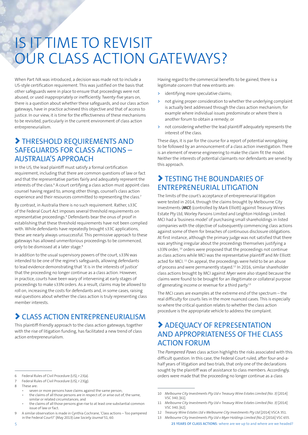# IS IT TIME TO REVISIT OUR CLASS ACTION GATEWAYS?

When Part IVA was introduced, a decision was made not to include a US-style certification requirement. This was justified on the basis that other safeguards were in place to ensure that proceedings were not abused, or used inappropriately or inefficiently. Twenty-five years on, there is a question about whether these safeguards, and our class action gateways, have in practice achieved this objective and that of access to justice. In our view, it is time for the effectiveness of these mechanisms to be revisited, particularly in the current environment of class action entrepreneurialism.

### > THRESHOLD REQUIREMENTS AND SAFEGUARDS FOR CLASS ACTIONS – AUSTRALIA'S APPROACH

In the US, the lead plaintiff must satisfy a formal certification requirement, including that there are common questions of law or fact and that the representative parties fairly and adequately represent the interests of the class.<sup>6</sup> A court certifying a class action must appoint class counsel having regard to, among other things, counsel's class action experience and their resources committed to representing the class.<sup>7</sup>

By contrast, in Australia there is no such requirement. Rather, s33C of the Federal Court Act imposes several threshold requirements on representative proceedings.<sup>8</sup> Defendants bear the onus of proof in establishing that these threshold requirements have not been complied with. While defendants have repeatedly brought s33C applications, these are nearly always unsuccessful. This permissive approach to these gateways has allowed unmeritorious proceedings to be commenced, only to be dismissed at a later stage.<sup>9</sup>

In addition to the usual supervisory powers of the court, s33N was intended to be one of the regime's safeguards, allowing defendants to lead evidence demonstrating that 'it is in the interests of justice' that the proceeding no longer continue as a class action. However, in practice, courts have been wary of intervening at early stages of proceedings to make s33N orders. As a result, claims may be allowed to roll on, increasing the costs for defendants and, in some cases, raising real questions about whether the class action is truly representing class member interests.

## > CLASS ACTION ENTREPRENEURIALISM

This plaintiff-friendly approach to the class action gateways, together with the rise of litigation funding, has facilitated a new trend of class action entrepreneurialism.

• seven or more persons have claims against the same person;

Having regard to the commercial benefits to be gained, there is a legitimate concern that new entrants are:

- **>** identifying more speculative claims;
- **>** not giving proper consideration to whether the underlying complaint is actually best addressed through the class action mechanism, for example where individual issues predominate or where there is another forum to obtain a remedy; or
- **>** not considering whether the lead plaintiff adequately represents the interest of the class.

These days, it is par for the course for a report of potential wrongdoing to be followed by an announcement of a class action investigation. There is an element of reverse engineering to make the claim fit the model. Neither the interests of potential claimants nor defendants are served by this approach.

### > TESTING THE BOUNDARIES OF ENTREPRENEURIAL LITIGATION

The limits of the court's acceptance of entrepreneurial litigation were tested in 2014, through the claims brought by Melbourne City Investments (*MCI*) (controlled by Mark Elliott) against Treasury Wines Estate Pty Ltd, Worley Parsons Limited and Leighton Holdings Limited. MCI had a 'business model' of purchasing small shareholdings in listed companies with the objective of subsequently commencing class actions against some of them for breaches of continuous disclosure obligations. At first instance, although the primary judge was not satisfied that there was anything irregular about the proceedings themselves justifying a s33N order, <sup>10</sup> orders were proposed that the proceedings not continue as class actions while MCI was the representative plaintiff and Mr Elliott acted for MCI.<sup>11</sup> On appeal, the proceedings were held to be an abuse of process and were permanently stayed.12 In 2016, similar shareholder class actions brought by MCI against Myer were also stayed because the claims were found to be brought for an illegitimate or collateral purpose of generating income or revenue for a third party.<sup>13</sup>

The MCI cases are examples at the extreme end of the spectrum – the real difficulty for courts lies in the more nuanced cases. This is especially so where the critical question relates to whether the class action procedure is the appropriate vehicle to address the complaint.

### > ADEQUACY OF REPRESENTATION AND APPROPRIATENESS OF THE CLASS ACTION FORUM

The *Pampered Paws* class action highlights the risks associated with this difficult question. In this case, the Federal Court ruled, after four-and-ahalf years of litigation and two trials, that only one of the declarations sought by the plaintiff was of assistance to class members. Accordingly, orders were made that the proceeding no longer continue as a class

- 12 *Treasury Wine Estates Ltd v Melbourne City Investments Pty Ltd* [2014] VSCA 351.
- 13 *Melbourne City Investments Pty Ltd v Myer Holdings Limited (No 2)* [2016] VSC 655.

<sup>6</sup> Federal Rules of Civil Procedure (US), r 23(a).

Federal Rules of Civil Procedure (US), r 23(g).

<sup>8</sup> These are:

<sup>•</sup> the claims of all those persons are in respect of, or arise out of, the same, similar or related circumstances; and

the claims of all those persons give rise to at least one substantial common issue of law or fact.

<sup>9</sup> A similar observation is made in Cynthia Cochrane, 'Class actions – Too pampered in the Federal Court?' (May 2013) *Law Society Journal* 51, 60.

<sup>10</sup> *Melbourne City Investments Pty Ltd v Treasury Wine Estates Limited (No. 3)* [2014] VSC 340, [61].

<sup>11</sup> *Melbourne City Investments Pty Ltd v Treasury Wine Estates Limited (No. 3)* [2014] VSC 340, [62].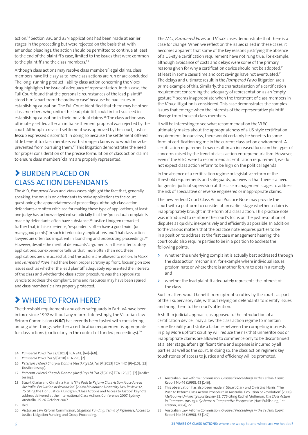action.14 Section 33C and 33N applications had been made at earlier stages in the proceeding but were rejected on the basis that, with amended pleadings, the action should be permitted to continue at least to the end of the plaintiff's case, limited to the issues that were common to the plaintiff and the class members.<sup>15</sup>

Although class actions may resolve class members' legal claims, class members have little say as to how class actions are run or are concluded. The long -running product liability class action concerning the Vioxx drug highlights the issue of adequacy of representation. In this case, the Full Court found that the personal circumstances of the lead plaintiff stood him 'apart from the ordinary case' because he had issues in establishing causation. The Full Court identified that there may be other class members who, unlike the lead plaintiff, could in fact succeed in establishing causation in their individual claims.16 The class action was ultimately settled after an initial settlement proposal was rejected by the court. Although a revised settlement was approved by the court, Justice Jessup expressed discomfort in doing so because the settlement offered little benefit to class members with stronger claims who would now be prevented from pursuing them.17 This litigation demonstrates the need for proper consideration of the precise formulation of class action claims to ensure class members' claims are properly represented.

### > BURDEN PLACED ON CLASS ACTION DEFENDANTS

The *MCI, Pampered Paws* and *Vioxx* cases highlight the fact that, generally speaking, the onus is on defendants to make applications to the court questioning the appropriateness of proceedings. Although class action defendants are often criticised for making these type of applications, at least one judge has acknowledged extra-judicially that the 'procedural complaints made by defendants often have substance'.18 Justice Lindgren remarked further that, in his experience, 'respondents often have a good point (or many good points)' in such interlocutory applications and 'that class action lawyers are often too impatient in launching and prosecuting proceedings'.<sup>19</sup> However, despite the merit of defendants' arguments in these interlocutory applications, our experience tells us that, more often than not, these applications are unsuccessful, and the actions are allowed to roll on. In *Vioxx* and *Pampered Paws*, had there been proper scrutiny up front, focusing on core issues such as whether the lead plaintiff adequately represented the interests of the class and whether the class action procedure was the appropriate vehicle to address the complaint, time and resources may have been spared and class members' claims properly protected.

### > WHERE TO FROM HERE?

The threshold requirements and other safeguards in Part IVA have been in force since 1992 without any reform. Interestingly, the Victorian Law Reform Commission (*VLRC*) has recently been tasked with considering, among other things, whether a certification requirement is appropriate for class actions (particularly in the context of funded proceedings).20

19 Ibid.

20 Victorian Law Reform Commission, *Litigation Funding: Terms of Reference*, Access to Justice Litigation Funding and Group Proceeding.

The *MCI*, *Pampered Paws* and *Vioxx* cases demonstrate that there is a case for change. When we reflect on the issues raised in these cases, it becomes apparent that some of the key reasons justifying the absence of a US-style certification requirement have not rung true. For example, although avoidance of costs and delays were some of the primary reasons given for why a certification device should not be adopted,<sup>21</sup> at least in some cases time and cost savings have not eventuated.<sup>22</sup> The delays and ultimate result in the *Pampered Paws* litigation are a prime example of this. Similarly, the characterisation of a certification requirement concerning the adequacy of representation as an 'empty gesture<sup>223</sup> seems inappropriate when the treatment of class members in the *Vioxx* litigation is considered. This case demonstrates the complex issues that emerge when the interests of the representative plaintiff diverge from those of class members.

It will be interesting to see what recommendation the VLRC ultimately makes about the appropriateness of a US-style certification requirement. In our view, there would certainly be benefits to some form of certification regime in the current class action environment. A certification requirement may result in an increased focus on the types of concerns raised by the trend of class action entrepreneurialism. However, even if the VLRC were to recommend a certification requirement, we do not expect class action reform to be high on the political agenda.

In the absence of a certification regime or legislative reform of the threshold requirements and safeguards, our view is that there is a need for greater judicial supervision at the case management stages to address the risk of speculative or reverse engineered or inappropriate claims.

The new Federal Court Class Action Practice Note may provide the court with a platform to consider at an earlier stage whether a claim is inappropriately brought in the form of a class action. This practice note was introduced to reinforce the court's focus on the just resolution of disputes as quickly, inexpensively and efficiently as possible. In addition to the various matters that the practice note requires parties to be in a position to address at the first case management hearing, the court could also require parties to be in a position to address the following points:

- **>** whether the underlying complaint is actually best addressed through the class action mechanism, for example where individual issues predominate or where there is another forum to obtain a remedy; and
- **>** whether the lead plaintiff adequately represents the interest of the class.

Such matters would benefit from upfront scrutiny by the courts as part of their supervisory role, without relying on defendants to identify issues and bring them to the court's attention.

A shift in judicial approach, as opposed to the introduction of a certification device , may allow the class action regime to maintain some flexibility and strike a balance between the competing interests in play. More upfront scrutiny will reduce the risk that unmeritorious or inappropriate claims are allowed to commence only to be discontinued at a later stage, after significant time and expense is incurred by all parties, as well as the court. In doing so, the class action regime's key touchstones of access to justice and efficiency will be promoted.

<sup>14</sup> *Pampered Paws (No 11)* [2013] FCA 241, [64]–[68].

<sup>15</sup> *Pampered Paws (No 6)* [2010] FCA 295, [2].

<sup>16</sup> *Peterson v Merck Sharp & Dohme (Aust) Pty Ltd [No 6]* [2013] FCA 447, [9]–[10], [12] (Justice Jessup).

<sup>17</sup> *Peterson v Merck Sharp & Dohme (Aust) Pty Ltd (No 7)* [2015] FCA 123,[6]- [7] (Justice Jessup).

<sup>18</sup> Stuart Clarke and Christina Harris *'The Push to Reform Class Action Procedure in Australia: Evaluation or Revolution*' (2008) *Melbourne University Law Review* 32, 75 citing the Hon Justice K Lindgren, 'Class Actions and Access to Justice', keynote address delivered at the International Class Actions Conference 2007, Sydney, Australia, 25-26 October 2007.

<sup>21</sup> Australian Law Reform Commission, *Grouped Proceedings in the Federal Court*, Report No 46 (1998), 63 [146].

<sup>22</sup> This observation has also been made in Stuart Clark and Christina Harris, 'The Push to Reform Class Action Procedure in Australia: Evolution or Revolution' (2008) *Melbourne University Law Review* 32, 775 citing Rachel Mulheron, *The Class Action in Common Law Legal Systems: A Comparative Perspective* (Hart Publishing, 1st edition, 2004), 27.

<sup>23</sup> Australian Law Reform Commission, *Grouped Proceedings in the Federal Court*, Report No 46 (1998), 63 [147].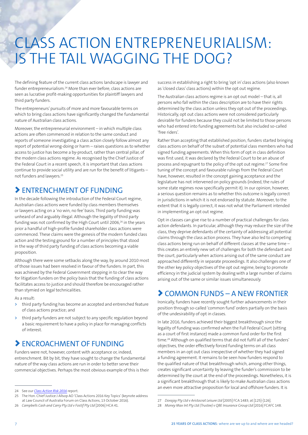# CLASS ACTION ENTREPRENEURIALISM: IS THE TAIL WAGGING THE DOG?

The defining feature of the current class actions landscape is lawyer and funder entrepreneurialism.24 More than ever before, class actions are seen as lucrative profit-making opportunities for plaintiff lawyers and third party funders.

The entrepreneurs' pursuits of more and more favourable terms on which to bring class actions have significantly changed the fundamental nature of Australian class actions.

Moreover, the entrepreneurial environment – in which multiple class actions are often commenced in relation to the same conduct and reports of someone investigating a class action closely follow almost any report of potential wrong-doing or harm – raises questions as to whether access to justice has become a by-product, rather than central pillar, of the modern class actions regime. As recognised by the Chief Justice of the Federal Court in a recent speech, it is important that class actions continue to provide social utility and are run for the benefit of litigants – not funders and lawyers.25

### > ENTRENCHMENT OF FUNDING

In the decade following the introduction of the Federal Court regime, Australian class actions were funded by class members themselves or lawyers acting on a 'no win, no fee' basis. Third party funding was unheard of and arguably illegal. Although the legality of third party funding was not confirmed by the High Court until 2006,<sup>26</sup> in the years prior a handful of high-profile funded shareholder class actions were commenced. These claims were the genesis of the modern funded class action and the testing ground for a number of principles that stood in the way of third party funding of class actions becoming a viable proposition.

Although there were some setbacks along the way, by around 2010 most of those issues had been resolved in favour of the funders. In part, this was achieved by the Federal Government stepping in to clear the way for litigation funders on the policy basis that the funding of class actions facilitates access to justice and should therefore be encouraged rather than stymied on legal technicalities.

As a result:

- **>** third party funding has become an accepted and entrenched feature of class actions practice; and
- **>** third party funders are not subject to any specific regulation beyond a basic requirement to have a policy in place for managing conflicts of interest.

### > ENCROACHMENT OF FUNDING

Funders were not, however, content with acceptance or, indeed, entrenchment. Bit by bit, they have sought to change the fundamental nature of the way class actions are run in order to better serve their commercial objectives. Perhaps the most obvious example of this is their success in establishing a right to bring 'opt in' class actions (also known as 'closed class' class actions) within the opt out regime.

The Australian class actions regime is an opt out model – that is, all persons who fall within the class description are to have their rights determined by the class action unless they opt out of the proceedings. Historically, opt out class actions were not considered particularly desirable for funders because they could not be limited to those persons who had entered into funding agreements but also included so-called 'free riders'.

Rather than accepting that established position, funders started bringing class actions on behalf of the subset of potential class members who had signed funding agreements. When this form of opt in class definition was first used, it was declared by the Federal Court to be an abuse of process and repugnant to the policy of the opt out regime.<sup>27</sup> Some fine tuning of the concept and favourable rulings from the Federal Court have, however, resulted in the concept gaining acceptance and the legislature has not intervened on policy grounds (indeed, the rules of some state regimes now specifically permit it). In our opinion, however, a serious question remains as to whether this outcome is legally correct in jurisdictions in which it is not endorsed by statute. Moreover, to the extent that it is legally correct, it was not what the Parliament intended in implementing an opt out regime.

Opt in classes can give rise to a number of practical challenges for class action defendants. In particular, although they may reduce the size of the class, they deprive defendants of the certainty of addressing all potential claims through the class action process. They have also led to competing class actions being run on behalf of different classes at the same time – this creates an entirely new set of challenges for both the defendant and the court, particularly when actions arising out of the same conduct are approached differently in separate proceedings. It also challenges one of the other key policy objectives of the opt out regime, being to promote efficiency in the judicial system by dealing with a large number of claims arising out of the same or similar issues simultaneously.

### > COMMON FUNDS – A NEW FRONTIER

Ironically, funders have recently sought further advancements in their position through so-called 'common fund' orders partially on the basis of the undesirability of opt in classes.

In late 2016, funders achieved their biggest breakthrough since the legality of funding was confirmed when the Full Federal Court (sitting as a court of first instance) made a common fund order for the first time.<sup>28</sup> Although on qualified terms that did not fulfil all of the funders' objectives, the order effectively forced funding terms on all class members in an opt out class irrespective of whether they had signed a funding agreement. It remains to be seen how funders respond to the qualified nature of that breakthrough which, among other things, creates significant uncertainty by leaving the funder's commission to be determined by the court at the end of the proceedings. Nonetheless, it is a significant breakthrough that is likely to make Australian class actions an even more attractive proposition for local and offshore funders. It is

<sup>24</sup> See our *[Class Action Risk 2016](https://www.allens.com.au/general/forms/pdf/ClassActionRisk2016.pdf?sku=194416197010101962)* report.

<sup>25</sup> The Hon. Chief Justice J Allsop AO ['Class Actions 2016 Key Topics'](http://www.fedcourt.gov.au/digital-law-library/judges-speeches/chief-justice-allsop/allsop-cj-20161013) (keynote address at Law Council of Australia Forum on Class Actions, 13 October 2016). 26 *Campbells Cash and Carry Pty Ltd v Fostif Pty Ltd* [2006] HCA 41.

<sup>27</sup> *Dorajay Pty Ltd v Aristocrat Leisure Ltd* [2005] FCA 1483; at [125]-[126].

<sup>28</sup> *Money Max Int Pty Ltd (Trustee) v QBE Insurance Group Ltd* [2016] FCAFC 148.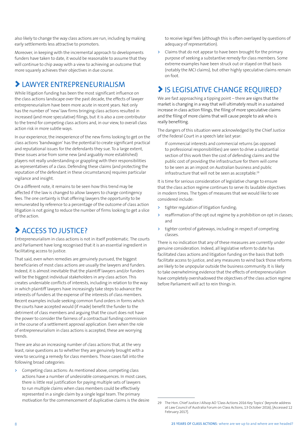also likely to change the way class actions are run, including by making early settlements less attractive to promoters.

Moreover, in keeping with the incremental approach to developments funders have taken to date, it would be reasonable to assume that they will continue to chip away with a view to achieving an outcome that more squarely achieves their objectives in due course.

### > LAWYER ENTREPRENEURIALISM

While litigation funding has been the most significant influence on the class actions landscape over the past decade, the effects of lawyer entrepreneurialism have been more acute in recent years. Not only has the number of 'new' law firms bringing class actions resulted in increased (and more speculative) filings, but it is also a core contributor to the trend for competing class actions and, in our view, to overall class action risk in more subtle ways.

In our experience, the inexperience of the new firms looking to get on the class actions 'bandwagon' has the potential to create significant practical and reputational issues for the defendants they sue. To a large extent, these issues arise from some new (and arguably more established) players not really understanding or grappling with their responsibilities as representatives of a class. Defending these claims (and protecting the reputation of the defendant in these circumstances) requires particular vigilance and insight.

On a different note, it remains to be seen how this trend may be affected if the law is changed to allow lawyers to charge contingency fees. The one certainty is that offering lawyers the opportunity to be remunerated by reference to a percentage of the outcome of class action litigation is not going to reduce the number of firms looking to get a slice of the action.

## > ACCESS TO JUSTICE?

Entrepreneurialism in class actions is not in itself problematic. The courts and Parliament have long recognised that it is an essential ingredient in facilitating access to justice.

That said, even when remedies are genuinely pursued, the biggest beneficiaries of most class actions are usually the lawyers and funders. Indeed, it is almost inevitable that the plaintiff lawyers and/or funders will be the biggest individual stakeholders in any class action. This creates undeniable conflicts of interests, including in relation to the way in which plaintiff lawyers have increasingly take steps to advance the interests of funders at the expense of the interests of class members. Recent examples include seeking common fund orders in forms which the courts have accepted would (if made) benefit the funder to the detriment of class members and arguing that the court does not have the power to consider the fairness of a contractual funding commission in the course of a settlement approval application. Even when the role of entrepreneurialism in class actions is accepted, these are worrying trends.

There are also an increasing number of class actions that, at the very least, raise questions as to whether they are genuinely brought with a view to securing a remedy for class members. Those cases fall into the following broad categories:

**>** Competing class actions: As mentioned above, competing class actions have a number of undesirable consequences. In most cases, there is little real justification for paying multiple sets of lawyers to run multiple claims when class members could be effectively represented in a single claim by a single legal team. The primary motivation for the commencement of duplicative claims is the desire to receive legal fees (although this is often overlayed by questions of adequacy of representation).

**>** Claims that do not appear to have been brought for the primary purpose of seeking a substantive remedy for class members. Some extreme examples have been struck out or stayed on that basis (notably the MCI claims), but other highly speculative claims remain on foot.

## > IS LEGISLATIVE CHANGE REQUIRED?

We are fast approaching a tipping point – there are signs that the market is changing in a way that will ultimately result in a sustained increase in class action filings, the filing of more speculative claims and the filing of more claims that will cause people to ask who is really benefiting.

The dangers of this situation were acknowledged by the Chief Justice of the Federal Court in a speech late last year:

If commercial interests and commercial returns (as opposed to professional responsibilities) are seen to drive a substantial section of this work then the cost of defending claims and the public cost of providing the infrastructure for them will come to be seen as an impost on Australian business and public infrastructure that will not be seen as acceptable.<sup>29</sup>

It is time for serious consideration of legislative change to ensure that the class action regime continues to serve its laudable objectives in modern times. The types of measures that we would like to see considered include:

- **>** tighter regulation of litigation funding;
- **>** reaffirmation of the opt out regime by a prohibition on opt in classes; and
- **>** tighter control of gateways, including in respect of competing classes.

There is no indication that any of these measures are currently under genuine consideration. Indeed, all legislative reform to date has facilitated class actions and litigation funding on the basis that both facilitate access to justice, and any measures to wind back those reforms are likely to be unpopular outside the business community. It is likely to take overwhelming evidence that the effects of entrepreneurialism have completely overshadowed the objectives of the class action regime before Parliament will act to rein things in.

<sup>29</sup> The Hon. Chief Justice J Allsop AO ['Class Actions 2016 Key Topics'](http://www.fedcourt.gov.au/digital-law-library/judges-speeches/chief-justice-allsop/allsop-cj-20161013) (keynote address at Law Council of Australia Forum on Class Actions, 13 October 2016), [Accessed 12 February 2017].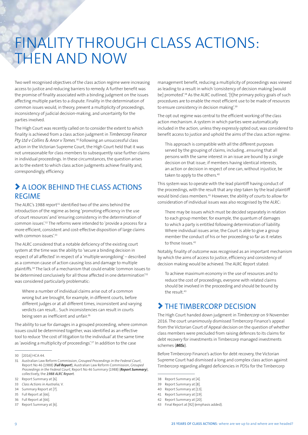# FINALITY THROUGH CLASS ACTIONS: THEN AND NOW

Two well recognised objectives of the class action regime were increasing access to justice and reducing barriers to remedy. A further benefit was the promise of finality associated with a binding judgment on the issues affecting multiple parties to a dispute. Finality in the determination of common issues would, in theory, prevent a multiplicity of proceedings, inconsistency of judicial decision-making, and uncertainty for the parties involved.

The High Court was recently called on to consider the extent to which finality is achieved from a class action judgment in *Timbercorp Finance Pty Ltd v Collins & Anor v Tomes.*30 Following an unsuccessful class action in the Victorian Supreme Court, the High Court held that it was not unreasonable for class members to subsequently raise further claims in individual proceedings. In these circumstances, the question arises as to the extent to which class action judgments achieve finality and, correspondingly, efficiency.

### > A LOOK BEHIND THE CLASS ACTIONS REGIME

The ALRC's 1988 report<sup>31</sup> identified two of the aims behind the introduction of the regime as being 'promoting efficiency in the use of court resources' and 'ensuring consistency in the determination of common issues'.32 The reforms were intended to 'provide a process for a more efficient, consistent and cost-effective disposition of large claims with common issues'.<sup>33</sup>

The ALRC considered that a notable deficiency of the existing court system at the time was the ability to 'secure a binding decision in respect of all affected' in respect of a 'multiple wrongdoing' – described as a common cause of action causing loss and damage to multiple plaintiffs.34 The lack of a mechanism that could enable 'common issues to be determined conclusively for all those affected in one determination<sup>'35</sup> was considered particularly problematic:

Where a number of individual claims arise out of a common wrong but are brought, for example, in different courts, before different judges or at all different times, inconsistent and varying verdicts can result… Such inconsistencies can result in courts being seen as inefficient and unfair.<sup>36</sup>

The ability to sue for damages in a grouped proceeding, where common issues could be determined together, was identified as an effective tool to reduce 'the cost of litigation to the individual' at the same time as 'avoiding a multiplicity of proceedings'.<sup>37</sup> In addition to the case

management benefit, reducing a multiplicity of proceedings was viewed as leading to a result in which 'consistency of decision making [would be] promoted<sup>'.38</sup> As the ALRC outlined, '[t]he primary policy goals of such procedures are to enable the most efficient use to be made of resources to ensure consistency in decision making'.<sup>39</sup>

The opt out regime was central to the efficient working of the class action mechanism. A system in which parties were automatically included in the action, unless they expressly opted out, was considered to benefit access to justice and uphold the aims of the class action regime:

This approach is compatible with all the different purposes served by the grouping of claims, including…ensuring that all persons with the same interest in an issue are bound by a single decision on that issue; if members having identical interests, an action or decision in respect of one can, without injustice, be taken to apply to the others.<sup>40</sup>

This system was to operate with the lead plaintiff having conduct of the proceedings, with the result that any step taken by the lead plaintiff would bind class members.41 However, the ability of courts to allow for consideration of individual issues was also recognised by the ALRC:

There may be issues which must be decided separately in relation to each group member, for example, the quantum of damages to which a party is entitled following determination of liability. Where individual issues arise, the Court is able to give a group member the conduct of his or her proceeding so far as it relates to those issues 42

Notably, finality of outcome was recognised as an important mechanism by which the aims of access to justice, efficiency and consistency of decision making would be achieved. The ALRC Report stated:

To achieve maximum economy in the use of resources and to reduce the cost of proceedings, everyone with related claims should be involved in the proceeding and should be bound by the result.43

### > THE TIMBERCORP DECISION

The High Court handed down judgment in *Timbercorp* on 9 November 2016. The court unanimously dismissed Timbercorp Finance's appeal from the Victorian Court of Appeal decision on the question of whether class members were precluded from raising defences to its claims for debt recovery for investments in Timbercorp managed investments schemes (*MISs*).

Before Timbercorp Finance's action for debt recovery, the Victorian Supreme Court had dismissed a long and complex class action against Timbercorp regarding alleged deficiencies in PDSs for the Timbercorp

41 Report Summary at [19].

<sup>30</sup> [2016] HCA 44.

<sup>31</sup> Australian Law Reform Commission, *Grouped Proceedings in the Federal Court*, Report No 46 (1988) (*Full Report*), Australian Law Reform Commission, *Grouped Proceedings in the Federal Court*, Report No 46 Summary (1988) (*Report Summary*), collectively, the *1988 ALRC Report.*

<sup>32</sup> Report Summary at [6].

<sup>33</sup> *Class Actions in Australia*, V.

<sup>34</sup> Summary Report at [7].

<sup>35</sup> Full Report at [66].

<sup>36</sup> Full Report at [66].

<sup>37</sup> Report Summary at [6].

<sup>38</sup> Report Summary at [4].

<sup>39</sup> Report Summary at [8].

<sup>40</sup> Report Summary at [13].

<sup>42</sup> Report Summary at [20].

<sup>43</sup> Final Report at [92] (emphasis added).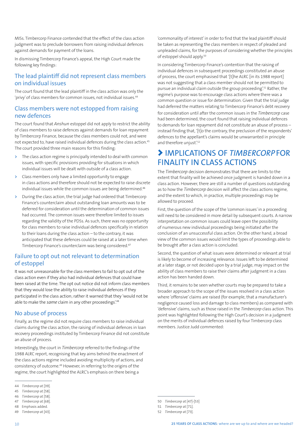MISs. Timbercorp Finance contended that the effect of the class action judgment was to preclude borrowers from raising individual defences against demands for payment of the loans.

In dismissing Timbercorp Finance's appeal, the High Court made the following key findings:

#### The lead plaintiff did not represent class members on individual issues

The court found that the lead plaintiff in the class action was only the 'privy' of class members for common issues, not individual issues.<sup>44</sup>

#### Class members were not estopped from raising new defences

The court found that *Anshun* estoppel did not apply to restrict the ability of class members to raise defences against demands for loan repayment by Timbercorp Finance, because the class members could not, and were not expected to, have raised individual defences during the class action.45 The court provided three main reasons for this finding:

- **>** The class action regime is principally intended to deal with common issues, with specific provisions providing for situations in which individual issues will be dealt with outside of a class action.
- **>** Class members only have a limited opportunity to engage in class actions and therefore should not be expected to raise discrete individual issues while the common issues are being determined.<sup>46</sup>
- **>** During the class action, the trial judge had ordered that Timbercorp Finance's counterclaim about outstanding loan amounts was to be deferred for consideration until the determination of common issues had occurred. The common issues were therefore limited to issues regarding the validity of the PDSs. As such, there was no opportunity for class members to raise individual defences specifically in relation to their loans during the class action – to the contrary, it was anticipated that these defences could be raised at a later time when Timbercorp Finance's counterclaim was being considered.47

#### Failure to opt out not relevant to determination of estoppel

It was not unreasonable for the class members to fail to opt out of the class action even if they also had individual defences that could have been raised at the time. The opt out notice did not inform class members that they would lose the ability to raise individual defences if they participated in the class action; rather it warned that they 'would not be able to make the *same* claim in any other proceedings'.48

#### No abuse of process

Finally, as the regime did not require class members to raise individual claims during the class action, the raising of individual defences in loan recovery proceedings instituted by Timbercorp Finance did not constitute an abuse of process.

Interestingly, the court in *Timbercorp* referred to the findings of the 1988 ALRC report, recognising that key aims behind the enactment of the class actions regime included avoiding multiplicity of actions, and consistency of outcome.49 However, in referring to the origins of the regime, the court highlighted the ALRC's emphasis on there being a

'commonality of interest' in order to find that the lead plaintiff should be taken as representing the class members in respect of pleaded and unpleaded claims, for the purposes of considering whether the principles of estoppel should apply.50

In considering Timbercorp Finance's contention that the raising of individual defences in subsequent proceedings constituted an abuse of process, the court emphasised that '[t]he ALRC [in its 1988 report] was not suggesting that a class member should not be permitted to pursue an individual claim outside the group proceeding'.51 Rather, the regime's purpose was to encourage class actions where there was a common question or issue for determination. Given that the trial judge had deferred the matters relating to Timbercorp Finance's debt recovery for consideration until after the common issues in the *Timbercorp* case had been determined, the court found that raising individual defences to demands for loan repayment did not constitute an abuse of process – instead finding that, '[t]o the contrary, the preclusion of the respondents' defences to the appellant's claims would be unwarranted in principle and therefore unjust'.<sup>52</sup>

### > IMPLICATIONS OF *TIMBERCORP*FOR FINALITY IN CLASS ACTIONS

The *Timbercorp* decision demonstrates that there are limits to the extent that finality will be achieved once judgment is handed down in a class action. However, there are still a number of questions outstanding as to how the *Timbercorp* decision will affect the class actions regime, and the extent to which, in practice, multiple proceedings may be allowed to proceed.

First, the question of the scope of the 'common issues' in a proceeding will need to be considered in more detail by subsequent courts. A narrow interpretation on common issues could leave open the possibility of numerous new individual proceedings being initiated after the conclusion of an unsuccessful class action. On the other hand, a broad view of the common issues would limit the types of proceedings able to be brought after a class action is concluded.

Second, the question of what issues were determined or relevant at trial is likely to become of increasing relevance. Issues left to be determined at a later stage, or not decided upon by a trial judge, may impact on the ability of class members to raise their claims after judgment in a class action has been handed down.

Third, it remains to be seen whether courts may be prepared to take a broader approach to the scope of the issues resolved in a class action where 'offensive' claims are raised (for example, that a manufacturer's negligence caused loss and damage to class members) as compared with 'defensive' claims, such as those raised in the *Timbercorp* class action. This point was highlighted following the High Court's decision in a judgment on the merits of individual defences raised by four Timbercorp class members. Justice Judd commented:

<sup>44</sup> *Timbercorp* at [39].

<sup>45</sup> *Timbercorp* at [58].

<sup>46</sup> *Timbercorp* at [58].

<sup>47</sup> *Timbercorp* at [68].

<sup>48</sup> Emphasis added.

<sup>50</sup> *Timbercorp* at [47]-[53]

<sup>51</sup> *Timbercorp* at [71]. 52 *Timbercorp* at [73].